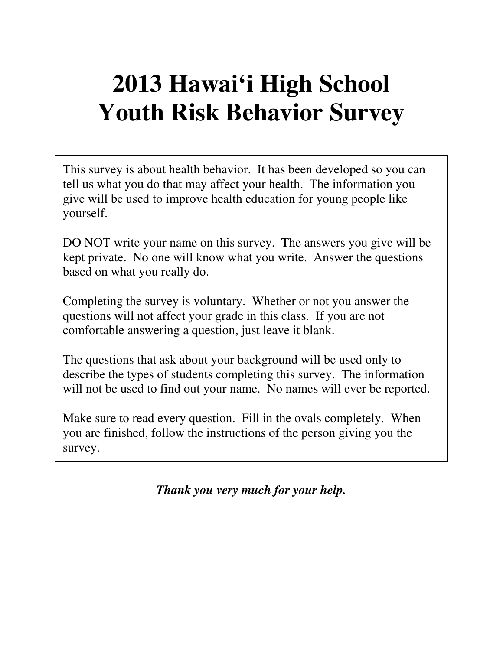# **2013 Hawai'i High School Youth Risk Behavior Survey**

This survey is about health behavior. It has been developed so you can tell us what you do that may affect your health. The information you give will be used to improve health education for young people like yourself.

DO NOT write your name on this survey. The answers you give will be kept private. No one will know what you write. Answer the questions based on what you really do.

Completing the survey is voluntary. Whether or not you answer the questions will not affect your grade in this class. If you are not comfortable answering a question, just leave it blank.

The questions that ask about your background will be used only to describe the types of students completing this survey. The information will not be used to find out your name. No names will ever be reported.

Make sure to read every question. Fill in the ovals completely. When you are finished, follow the instructions of the person giving you the survey.

*Thank you very much for your help.*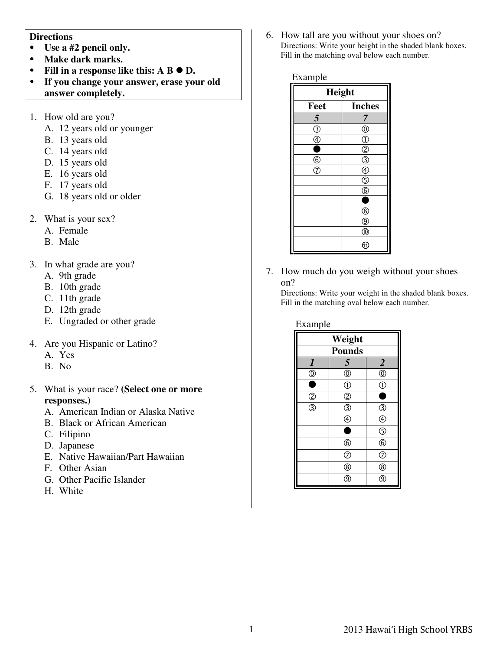#### **Directions**

- **Use a #2 pencil only.**
- **Make dark marks.**
- Fill in a response like this:  $A \cdot B \cdot D$ .
- **If you change your answer, erase your old answer completely.**
- 1. How old are you?
	- A. 12 years old or younger
	- B. 13 years old
	- C. 14 years old
	- D. 15 years old
	- E. 16 years old
	- F. 17 years old
	- G. 18 years old or older
- 2. What is your sex?
	- A. Female
	- B. Male
- 3. In what grade are you?
	- A. 9th grade
	- B. 10th grade
	- C. 11th grade
	- D. 12th grade
	- E. Ungraded or other grade
- 4. Are you Hispanic or Latino?
	- A. Yes
	- B. No
- 5. What is your race? **(Select one or more responses.)** 
	- A. American Indian or Alaska Native
	- B. Black or African American
	- C. Filipino
	- D. Japanese
	- E. Native Hawaiian/Part Hawaiian
	- F. Other Asian
	- G. Other Pacific Islander
	- H. White

6. How tall are you without your shoes on? Directions: Write your height in the shaded blank boxes. Fill in the matching oval below each number.

| example |
|---------|
|---------|

| <b>Height</b>                 |                                                                                                   |  |
|-------------------------------|---------------------------------------------------------------------------------------------------|--|
| Feet                          | <b>Inches</b>                                                                                     |  |
| $\overline{5}$                | 7                                                                                                 |  |
| $\overline{\circledS}$        | $^{\circledR}$                                                                                    |  |
| $\overset{\circ}{\bullet}$    |                                                                                                   |  |
|                               | $\frac{1}{2}$ $\frac{1}{2}$ $\frac{1}{2}$ $\frac{1}{2}$ $\frac{1}{2}$ $\frac{1}{2}$ $\frac{1}{2}$ |  |
| $\frac{\circledR}{\circledR}$ |                                                                                                   |  |
|                               |                                                                                                   |  |
|                               |                                                                                                   |  |
|                               |                                                                                                   |  |
|                               |                                                                                                   |  |
|                               | @                                                                                                 |  |
|                               | $^{\circledR}$                                                                                    |  |
|                               | $\overline{\mathbb{Q}}$                                                                           |  |
|                               | ⊕                                                                                                 |  |

7. How much do you weigh without your shoes on?

Directions: Write your weight in the shaded blank boxes. Fill in the matching oval below each number.

| Weight                 |                               |                                 |  |
|------------------------|-------------------------------|---------------------------------|--|
| <b>Pounds</b>          |                               |                                 |  |
| $\boldsymbol{l}$       | 5                             | $\overline{2}$                  |  |
| $\overline{\bigodot}$  | $\hat{\overline{\mathbb{O}}}$ | $\ddot{\odot}$                  |  |
|                        | $\circled{0}$                 | $\overline{\mathbb{C}}$         |  |
| $^{\circledR}$         | $\overline{O}$                |                                 |  |
| $\overline{\circledS}$ | $\overline{\circ}$            | ③                               |  |
|                        | $^{\circledR}$                | $\bar{\textcircled{\small{4}}}$ |  |
|                        |                               | $\circledS$                     |  |
|                        | $^{\circledR}$                | $^{\circledR}$                  |  |
|                        | $\overline{O}$                | $\overline{C}$                  |  |
|                        | $^{\circledR}$                | ®                               |  |
|                        | ⊚                             | g                               |  |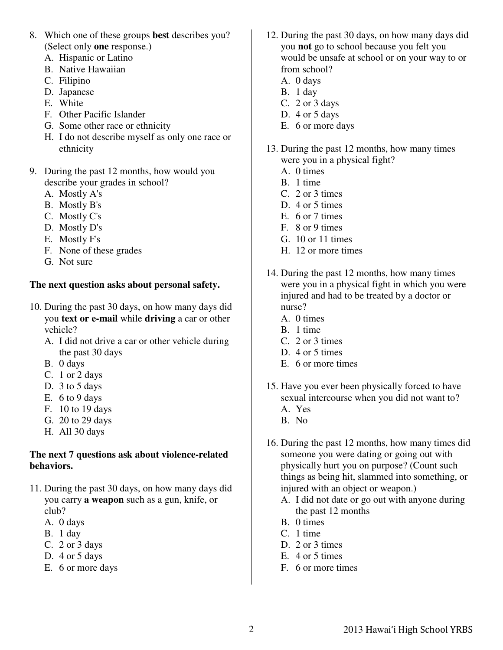- 8. Which one of these groups **best** describes you? (Select only **one** response.)
	- A. Hispanic or Latino
	- B. Native Hawaiian
	- C. Filipino
	- D. Japanese
	- E. White
	- F. Other Pacific Islander
	- G. Some other race or ethnicity
	- H. I do not describe myself as only one race or ethnicity
- 9. During the past 12 months, how would you describe your grades in school?
	- A. Mostly A's
	- B. Mostly B's
	- C. Mostly C's
	- D. Mostly D's
	- E. Mostly F's
	- F. None of these grades
	- G. Not sure

# **The next question asks about personal safety.**

- 10. During the past 30 days, on how many days did you **text or e-mail** while **driving** a car or other vehicle?
	- A. I did not drive a car or other vehicle during the past 30 days
	- B. 0 days
	- C. 1 or 2 days
	- D. 3 to 5 days
	- E. 6 to 9 days
	- F. 10 to 19 days
	- G. 20 to 29 days
	- H. All 30 days

## **The next 7 questions ask about violence-related behaviors.**

- 11. During the past 30 days, on how many days did you carry **a weapon** such as a gun, knife, or club?
	- A. 0 days
	- B. 1 day
	- C. 2 or 3 days
	- D. 4 or 5 days
	- E. 6 or more days
- 12. During the past 30 days, on how many days did you **not** go to school because you felt you would be unsafe at school or on your way to or from school?
	- A. 0 days
	- B. 1 day
	- C. 2 or 3 days
	- D. 4 or 5 days
	- E. 6 or more days
- 13. During the past 12 months, how many times were you in a physical fight?
	- A. 0 times
	- B. 1 time
	- C. 2 or 3 times
	- D. 4 or 5 times
	- E. 6 or 7 times
	- F. 8 or 9 times
	- G. 10 or 11 times
	- H. 12 or more times
- 14. During the past 12 months, how many times were you in a physical fight in which you were injured and had to be treated by a doctor or nurse?
	- A. 0 times
	- B. 1 time
	- C. 2 or 3 times
	- D. 4 or 5 times
	- E. 6 or more times
- 15. Have you ever been physically forced to have sexual intercourse when you did not want to?
	- A. Yes
	- B. No
- 16. During the past 12 months, how many times did someone you were dating or going out with physically hurt you on purpose? (Count such things as being hit, slammed into something, or injured with an object or weapon.)
	- A. I did not date or go out with anyone during the past 12 months
	- B. 0 times
	- C. 1 time
	- D. 2 or 3 times
	- E. 4 or 5 times
	- F. 6 or more times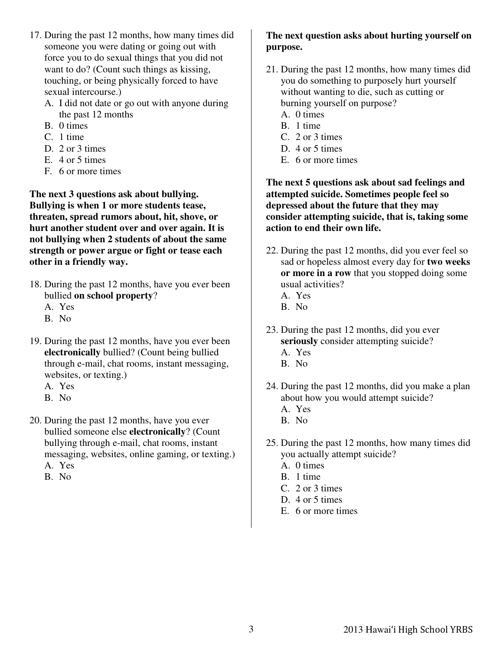- 17. During the past 12 months, how many times did someone you were dating or going out with force you to do sexual things that you did not want to do? (Count such things as kissing, touching, or being physically forced to have sexual intercourse.)
	- A. I did not date or go out with anyone during the past 12 months
	- B. 0 times
	- C. 1 time
	- D. 2 or 3 times
	- E. 4 or 5 times
	- F. 6 or more times

**The next 3 questions ask about bullying. Bullying is when 1 or more students tease, threaten, spread rumors about, hit, shove, or hurt another student over and over again. It is not bullying when 2 students of about the same strength or power argue or fight or tease each other in a friendly way.** 

- 18. During the past 12 months, have you ever been bullied **on school property**?
	- A. Yes
	- B. No
- 19. During the past 12 months, have you ever been **electronically** bullied? (Count being bullied through e-mail, chat rooms, instant messaging, websites, or texting.)
	- A. Yes
	- B. No
- 20. During the past 12 months, have you ever bullied someone else **electronically**? (Count bullying through e-mail, chat rooms, instant messaging, websites, online gaming, or texting.)
	- A. Yes
	- B. No

## **The next question asks about hurting yourself on purpose.**

- 21. During the past 12 months, how many times did you do something to purposely hurt yourself without wanting to die, such as cutting or burning yourself on purpose?
	- A. 0 times
	- B. 1 time
	- C. 2 or 3 times
	- D. 4 or 5 times
	- E. 6 or more times

**The next 5 questions ask about sad feelings and attempted suicide. Sometimes people feel so depressed about the future that they may consider attempting suicide, that is, taking some action to end their own life.** 

- 22. During the past 12 months, did you ever feel so sad or hopeless almost every day for **two weeks or more in a row** that you stopped doing some usual activities?
	- A. Yes
	- B. No
- 23. During the past 12 months, did you ever **seriously** consider attempting suicide?
	- A. Yes
	- B. No
- 24. During the past 12 months, did you make a plan about how you would attempt suicide?
	- A. Yes
	- B. No
- 25. During the past 12 months, how many times did you actually attempt suicide?
	- A. 0 times
	- B. 1 time
	- C. 2 or 3 times
	- D. 4 or 5 times
	- E. 6 or more times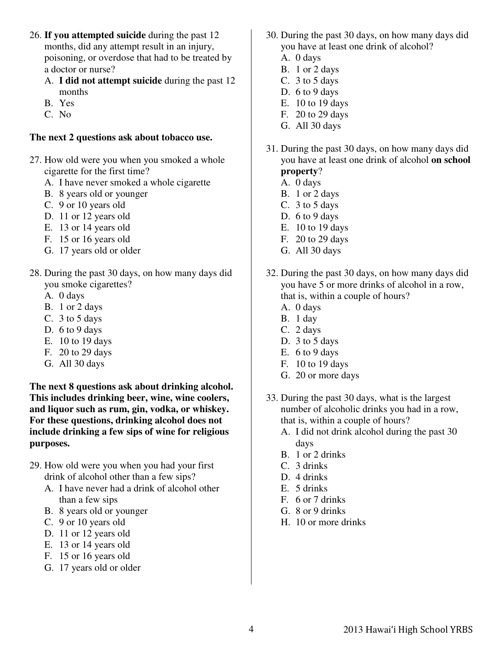- 26. **If you attempted suicide** during the past 12 months, did any attempt result in an injury, poisoning, or overdose that had to be treated by a doctor or nurse?
	- A. **I did not attempt suicide** during the past 12 months
	- B. Yes
	- C. No

#### **The next 2 questions ask about tobacco use.**

- 27. How old were you when you smoked a whole cigarette for the first time?
	- A. I have never smoked a whole cigarette
	- B. 8 years old or younger
	- C. 9 or 10 years old
	- D. 11 or 12 years old
	- E. 13 or 14 years old
	- F. 15 or 16 years old
	- G. 17 years old or older
- 28. During the past 30 days, on how many days did you smoke cigarettes?
	- A. 0 days
	- B. 1 or 2 days
	- C. 3 to 5 days
	- D. 6 to 9 days
	- E. 10 to 19 days
	- F. 20 to 29 days
	- G. All 30 days

**The next 8 questions ask about drinking alcohol. This includes drinking beer, wine, wine coolers, and liquor such as rum, gin, vodka, or whiskey. For these questions, drinking alcohol does not include drinking a few sips of wine for religious purposes.** 

- 29. How old were you when you had your first drink of alcohol other than a few sips?
	- A. I have never had a drink of alcohol other than a few sips
	- B. 8 years old or younger
	- C. 9 or 10 years old
	- D. 11 or 12 years old
	- E. 13 or 14 years old
	- F. 15 or 16 years old
	- G. 17 years old or older
- 30. During the past 30 days, on how many days did you have at least one drink of alcohol?
	- A. 0 days
	- B. 1 or 2 days
	- C. 3 to 5 days
	- D. 6 to 9 days
	- E. 10 to 19 days
	- F. 20 to 29 days
	- G. All 30 days
- 31. During the past 30 days, on how many days did you have at least one drink of alcohol **on school property**?
	- A. 0 days
	- B. 1 or 2 days
	- C. 3 to 5 days
	- D. 6 to 9 days
	- E. 10 to 19 days
	- F. 20 to 29 days
	- G. All 30 days
- 32. During the past 30 days, on how many days did you have 5 or more drinks of alcohol in a row, that is, within a couple of hours?
	- A. 0 days
	- B. 1 day
	- C. 2 days
	- D. 3 to 5 days
	- E. 6 to 9 days
	- F. 10 to 19 days
	- G. 20 or more days
- 33. During the past 30 days, what is the largest number of alcoholic drinks you had in a row, that is, within a couple of hours?
	- A. I did not drink alcohol during the past 30 days
	- B. 1 or 2 drinks
	- C. 3 drinks
	- D. 4 drinks
	- E. 5 drinks
	- F. 6 or 7 drinks
	- G. 8 or 9 drinks
	- H. 10 or more drinks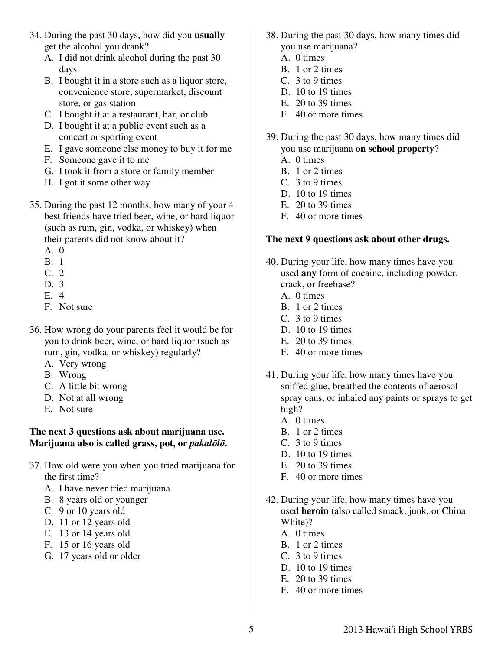- 34. During the past 30 days, how did you **usually** get the alcohol you drank?
	- A. I did not drink alcohol during the past 30 days
	- B. I bought it in a store such as a liquor store, convenience store, supermarket, discount store, or gas station
	- C. I bought it at a restaurant, bar, or club
	- D. I bought it at a public event such as a concert or sporting event
	- E. I gave someone else money to buy it for me
	- F. Someone gave it to me
	- G. I took it from a store or family member
	- H. I got it some other way
- 35. During the past 12 months, how many of your 4 best friends have tried beer, wine, or hard liquor (such as rum, gin, vodka, or whiskey) when their parents did not know about it?
	- A. 0
	- B. 1
	- C. 2
	- D. 3
	- E. 4
	- F. Not sure
- 36. How wrong do your parents feel it would be for you to drink beer, wine, or hard liquor (such as rum, gin, vodka, or whiskey) regularly?
	- A. Very wrong
	- B. Wrong
	- C. A little bit wrong
	- D. Not at all wrong
	- E. Not sure

#### **The next 3 questions ask about marijuana use. Marijuana also is called grass, pot, or** *pakal*ō*l*ō**.**

- 37. How old were you when you tried marijuana for the first time?
	- A. I have never tried marijuana
	- B. 8 years old or younger
	- C. 9 or 10 years old
	- D. 11 or 12 years old
	- E. 13 or 14 years old
	- F. 15 or 16 years old
	- G. 17 years old or older
- 38. During the past 30 days, how many times did you use marijuana?
	- A. 0 times
	- B. 1 or 2 times
	- C. 3 to 9 times
	- D. 10 to 19 times
	- E. 20 to 39 times
	- F. 40 or more times
- 39. During the past 30 days, how many times did you use marijuana **on school property**?
	- A. 0 times
	- B. 1 or 2 times
	- C. 3 to 9 times
	- D. 10 to 19 times
	- E. 20 to 39 times
	- F. 40 or more times

## **The next 9 questions ask about other drugs.**

- 40. During your life, how many times have you used **any** form of cocaine, including powder, crack, or freebase?
	- A. 0 times
	- B. 1 or 2 times
	- C. 3 to 9 times
	- D. 10 to 19 times
	- E. 20 to 39 times
	- F. 40 or more times
- 41. During your life, how many times have you sniffed glue, breathed the contents of aerosol spray cans, or inhaled any paints or sprays to get high?
	- A. 0 times
	- B. 1 or 2 times
	- C. 3 to 9 times
	- D. 10 to 19 times
	- E. 20 to 39 times
	- F. 40 or more times
- 42. During your life, how many times have you used **heroin** (also called smack, junk, or China White)?
	- A. 0 times
	- B. 1 or 2 times
	- C. 3 to 9 times
	- D. 10 to 19 times
	- E. 20 to 39 times
	- F. 40 or more times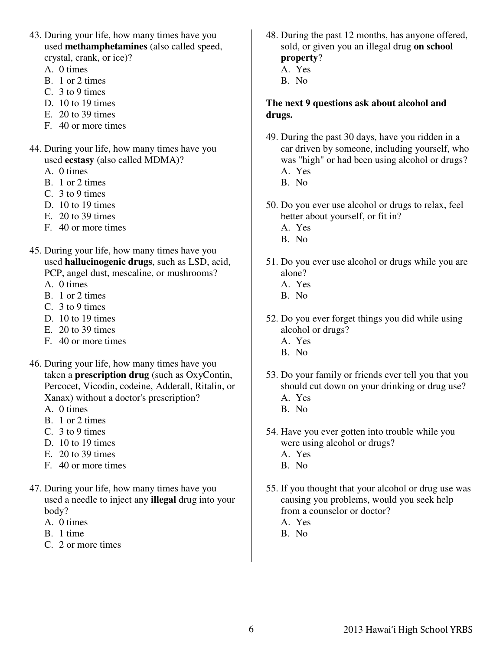- 43. During your life, how many times have you used **methamphetamines** (also called speed, crystal, crank, or ice)?
	- A. 0 times
	- B. 1 or 2 times
	- C. 3 to 9 times
	- D. 10 to 19 times
	- E. 20 to 39 times
	- F. 40 or more times
- 44. During your life, how many times have you used **ecstasy** (also called MDMA)?
	- A. 0 times
	- B. 1 or 2 times
	- C. 3 to 9 times
	- D. 10 to 19 times
	- E. 20 to 39 times
	- F. 40 or more times
- 45. During your life, how many times have you used **hallucinogenic drugs**, such as LSD, acid, PCP, angel dust, mescaline, or mushrooms?
	- A. 0 times
	- B. 1 or 2 times
	- C. 3 to 9 times
	- D. 10 to 19 times
	- E. 20 to 39 times
	- F. 40 or more times
- 46. During your life, how many times have you taken a **prescription drug** (such as OxyContin, Percocet, Vicodin, codeine, Adderall, Ritalin, or Xanax) without a doctor's prescription?
	- A. 0 times
	- B. 1 or 2 times
	- C. 3 to 9 times
	- D. 10 to 19 times
	- E. 20 to 39 times
	- F. 40 or more times
- 47. During your life, how many times have you used a needle to inject any **illegal** drug into your body?
	- A. 0 times
	- B. 1 time
	- C. 2 or more times
- 48. During the past 12 months, has anyone offered, sold, or given you an illegal drug **on school property**?
	- A. Yes
	- B. No

### **The next 9 questions ask about alcohol and drugs.**

- 49. During the past 30 days, have you ridden in a car driven by someone, including yourself, who was "high" or had been using alcohol or drugs? A. Yes
	- B. No
- 50. Do you ever use alcohol or drugs to relax, feel better about yourself, or fit in?
	- A. Yes
	- B. No
- 51. Do you ever use alcohol or drugs while you are alone?
	- A. Yes
	- B. No
- 52. Do you ever forget things you did while using alcohol or drugs?
	- A. Yes
	- B. No
- 53. Do your family or friends ever tell you that you should cut down on your drinking or drug use? A. Yes
	- B. No
- 54. Have you ever gotten into trouble while you were using alcohol or drugs?
	- A. Yes
	- B. No
- 55. If you thought that your alcohol or drug use was causing you problems, would you seek help from a counselor or doctor?
	- A. Yes
	- B. No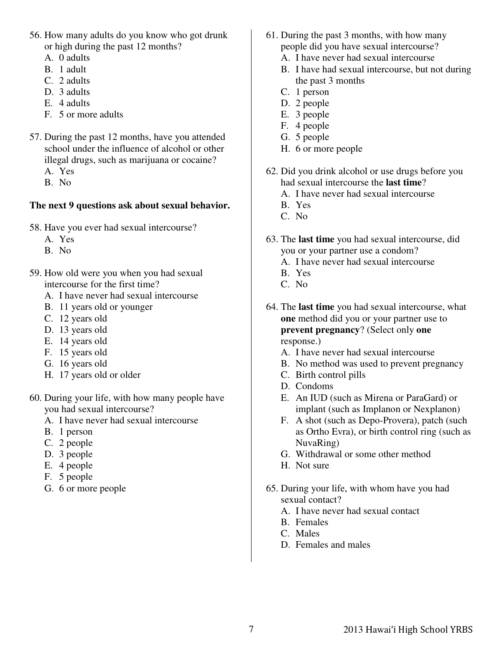- 56. How many adults do you know who got drunk or high during the past 12 months?
	- A. 0 adults
	- B. 1 adult
	- C. 2 adults
	- D. 3 adults
	- E. 4 adults
	- F. 5 or more adults
- 57. During the past 12 months, have you attended school under the influence of alcohol or other illegal drugs, such as marijuana or cocaine?
	- A. Yes
	- B. No

# **The next 9 questions ask about sexual behavior.**

- 58. Have you ever had sexual intercourse?
	- A. Yes
	- B. No
- 59. How old were you when you had sexual intercourse for the first time?
	- A. I have never had sexual intercourse
	- B. 11 years old or younger
	- C. 12 years old
	- D. 13 years old
	- E. 14 years old
	- F. 15 years old
	- G. 16 years old
	- H. 17 years old or older
- 60. During your life, with how many people have you had sexual intercourse?
	- A. I have never had sexual intercourse
	- B. 1 person
	- C. 2 people
	- D. 3 people
	- E. 4 people
	- F. 5 people
	- G. 6 or more people
- 61. During the past 3 months, with how many people did you have sexual intercourse?
	- A. I have never had sexual intercourse
	- B. I have had sexual intercourse, but not during the past 3 months
	- C. 1 person
	- D. 2 people
	- E. 3 people
	- F. 4 people
	- G. 5 people
	- H. 6 or more people
- 62. Did you drink alcohol or use drugs before you had sexual intercourse the **last time**?
	- A. I have never had sexual intercourse
	- B. Yes
	- C. No
- 63. The **last time** you had sexual intercourse, did you or your partner use a condom?
	- A. I have never had sexual intercourse
	- B. Yes
	- C. No
- 64. The **last time** you had sexual intercourse, what **one** method did you or your partner use to **prevent pregnancy**? (Select only **one**  response.)
	- A. I have never had sexual intercourse
	- B. No method was used to prevent pregnancy
	- C. Birth control pills
	- D. Condoms
	- E. An IUD (such as Mirena or ParaGard) or implant (such as Implanon or Nexplanon)
	- F. A shot (such as Depo-Provera), patch (such as Ortho Evra), or birth control ring (such as NuvaRing)
	- G. Withdrawal or some other method
	- H. Not sure
- 65. During your life, with whom have you had sexual contact?
	- A. I have never had sexual contact
	- B. Females
	- C. Males
	- D. Females and males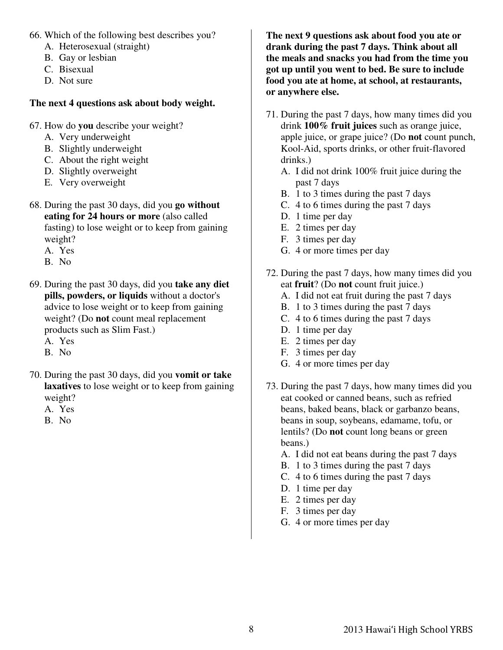- 66. Which of the following best describes you?
	- A. Heterosexual (straight)
	- B. Gay or lesbian
	- C. Bisexual
	- D. Not sure

#### **The next 4 questions ask about body weight.**

- 67. How do **you** describe your weight?
	- A. Very underweight
	- B. Slightly underweight
	- C. About the right weight
	- D. Slightly overweight
	- E. Very overweight
- 68. During the past 30 days, did you **go without eating for 24 hours or more** (also called fasting) to lose weight or to keep from gaining weight?
	- A. Yes
	- B. No
- 69. During the past 30 days, did you **take any diet pills, powders, or liquids** without a doctor's advice to lose weight or to keep from gaining weight? (Do **not** count meal replacement products such as Slim Fast.)
	- A. Yes
	- B. No
- 70. During the past 30 days, did you **vomit or take laxatives** to lose weight or to keep from gaining weight?
	- A. Yes
	- B. No

**The next 9 questions ask about food you ate or drank during the past 7 days. Think about all the meals and snacks you had from the time you got up until you went to bed. Be sure to include food you ate at home, at school, at restaurants, or anywhere else.** 

- 71. During the past 7 days, how many times did you drink **100% fruit juices** such as orange juice, apple juice, or grape juice? (Do **not** count punch, Kool-Aid, sports drinks, or other fruit-flavored drinks.)
	- A. I did not drink 100% fruit juice during the past 7 days
	- B. 1 to 3 times during the past 7 days
	- C. 4 to 6 times during the past 7 days
	- D. 1 time per day
	- E. 2 times per day
	- F. 3 times per day
	- G. 4 or more times per day
- 72. During the past 7 days, how many times did you eat **fruit**? (Do **not** count fruit juice.)
	- A. I did not eat fruit during the past 7 days
	- B. 1 to 3 times during the past 7 days
	- C. 4 to 6 times during the past 7 days
	- D. 1 time per day
	- E. 2 times per day
	- F. 3 times per day
	- G. 4 or more times per day
- 73. During the past 7 days, how many times did you eat cooked or canned beans, such as refried beans, baked beans, black or garbanzo beans, beans in soup, soybeans, edamame, tofu, or lentils? (Do **not** count long beans or green beans.)
	- A. I did not eat beans during the past 7 days
	- B. 1 to 3 times during the past 7 days
	- C. 4 to 6 times during the past 7 days
	- D. 1 time per day
	- E. 2 times per day
	- F. 3 times per day
	- G. 4 or more times per day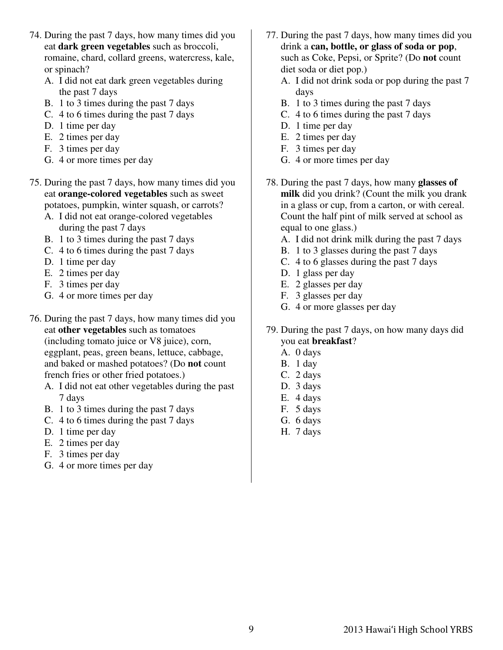- 74. During the past 7 days, how many times did you eat **dark green vegetables** such as broccoli, romaine, chard, collard greens, watercress, kale, or spinach?
	- A. I did not eat dark green vegetables during the past 7 days
	- B. 1 to 3 times during the past 7 days
	- C. 4 to 6 times during the past 7 days
	- D. 1 time per day
	- E. 2 times per day
	- F. 3 times per day
	- G. 4 or more times per day
- 75. During the past 7 days, how many times did you eat **orange-colored vegetables** such as sweet potatoes, pumpkin, winter squash, or carrots?
	- A. I did not eat orange-colored vegetables during the past 7 days
	- B. 1 to 3 times during the past 7 days
	- C. 4 to 6 times during the past 7 days
	- D. 1 time per day
	- E. 2 times per day
	- F. 3 times per day
	- G. 4 or more times per day
- 76. During the past 7 days, how many times did you eat **other vegetables** such as tomatoes (including tomato juice or V8 juice), corn, eggplant, peas, green beans, lettuce, cabbage, and baked or mashed potatoes? (Do **not** count french fries or other fried potatoes.)
	- A. I did not eat other vegetables during the past 7 days
	- B. 1 to 3 times during the past 7 days
	- C. 4 to 6 times during the past 7 days
	- D. 1 time per day
	- E. 2 times per day
	- F. 3 times per day
	- G. 4 or more times per day
- 77. During the past 7 days, how many times did you drink a **can, bottle, or glass of soda or pop**, such as Coke, Pepsi, or Sprite? (Do **not** count diet soda or diet pop.)
	- A. I did not drink soda or pop during the past 7 days
	- B. 1 to 3 times during the past 7 days
	- C. 4 to 6 times during the past 7 days
	- D. 1 time per day
	- E. 2 times per day
	- F. 3 times per day
	- G. 4 or more times per day
- 78. During the past 7 days, how many **glasses of milk** did you drink? (Count the milk you drank in a glass or cup, from a carton, or with cereal. Count the half pint of milk served at school as equal to one glass.)
	- A. I did not drink milk during the past 7 days
	- B. 1 to 3 glasses during the past 7 days
	- C. 4 to 6 glasses during the past 7 days
	- D. 1 glass per day
	- E. 2 glasses per day
	- F. 3 glasses per day
	- G. 4 or more glasses per day
- 79. During the past 7 days, on how many days did you eat **breakfast**?
	- A. 0 days
	- B. 1 day
	- C. 2 days
	- D. 3 days
	- E. 4 days
	- F. 5 days
	- G. 6 days
	- H. 7 days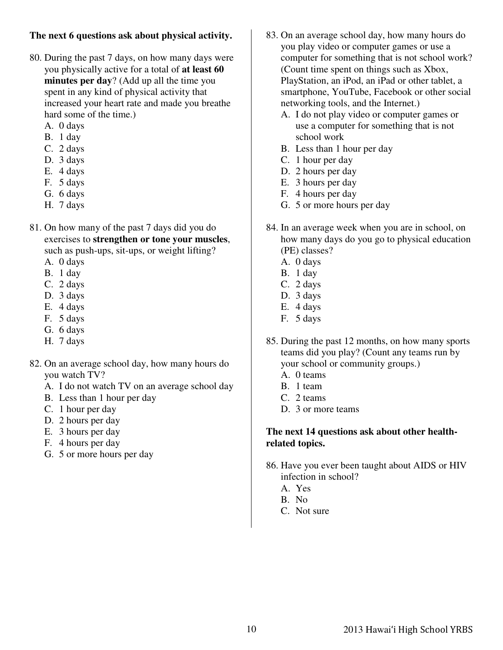# **The next 6 questions ask about physical activity.**

- 80. During the past 7 days, on how many days were you physically active for a total of **at least 60 minutes per day**? (Add up all the time you spent in any kind of physical activity that increased your heart rate and made you breathe hard some of the time.)
	- A. 0 days
	- B. 1 day
	- C. 2 days
	- D. 3 days
	- E. 4 days
	- F. 5 days
	- G. 6 days
	- H. 7 days
- 81. On how many of the past 7 days did you do exercises to **strengthen or tone your muscles**, such as push-ups, sit-ups, or weight lifting?
	- A. 0 days
	- B. 1 day
	- C. 2 days
	- D. 3 days
	- E. 4 days
	- F. 5 days
	- G. 6 days
	- H. 7 days
- 82. On an average school day, how many hours do you watch TV?
	- A. I do not watch TV on an average school day
	- B. Less than 1 hour per day
	- C. 1 hour per day
	- D. 2 hours per day
	- E. 3 hours per day
	- F. 4 hours per day
	- G. 5 or more hours per day
- 83. On an average school day, how many hours do you play video or computer games or use a computer for something that is not school work? (Count time spent on things such as Xbox, PlayStation, an iPod, an iPad or other tablet, a smartphone, YouTube, Facebook or other social networking tools, and the Internet.)
	- A. I do not play video or computer games or use a computer for something that is not school work
	- B. Less than 1 hour per day
	- C. 1 hour per day
	- D. 2 hours per day
	- E. 3 hours per day
	- F. 4 hours per day
	- G. 5 or more hours per day
- 84. In an average week when you are in school, on how many days do you go to physical education (PE) classes?
	- A. 0 days
	- B. 1 day
	- C. 2 days
	- D. 3 days
	- E. 4 days
	- F. 5 days
- 85. During the past 12 months, on how many sports teams did you play? (Count any teams run by your school or community groups.)
	- A. 0 teams
	- B. 1 team
	- C. 2 teams
	- D. 3 or more teams

#### **The next 14 questions ask about other healthrelated topics.**

- 86. Have you ever been taught about AIDS or HIV infection in school?
	- A. Yes
	- B. No
	- C. Not sure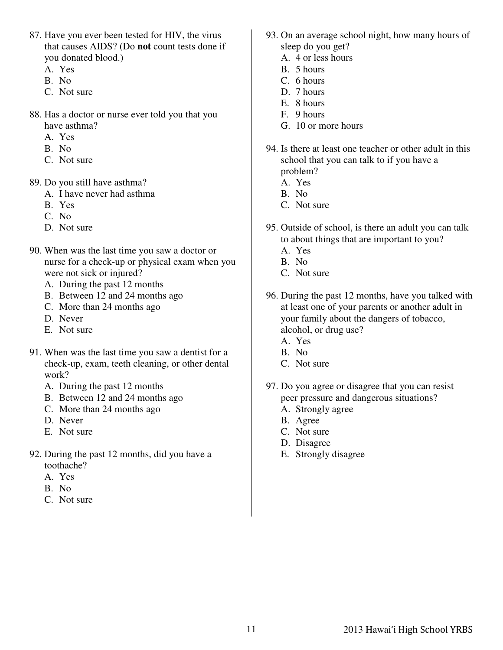- 87. Have you ever been tested for HIV, the virus that causes AIDS? (Do **not** count tests done if you donated blood.)
	- A. Yes
	- B. No
	- C. Not sure
- 88. Has a doctor or nurse ever told you that you have asthma?
	- A. Yes
	- B. No
	- C. Not sure
- 89. Do you still have asthma?
	- A. I have never had asthma
	- B. Yes
	- C. No
	- D. Not sure
- 90. When was the last time you saw a doctor or nurse for a check-up or physical exam when you were not sick or injured?
	- A. During the past 12 months
	- B. Between 12 and 24 months ago
	- C. More than 24 months ago
	- D. Never
	- E. Not sure
- 91. When was the last time you saw a dentist for a check-up, exam, teeth cleaning, or other dental work?
	- A. During the past 12 months
	- B. Between 12 and 24 months ago
	- C. More than 24 months ago
	- D. Never
	- E. Not sure
- 92. During the past 12 months, did you have a toothache?
	- A. Yes
	- B. No
	- C. Not sure
- 93. On an average school night, how many hours of sleep do you get?
	- A. 4 or less hours
	- B. 5 hours
	- C. 6 hours
	- D. 7 hours
	- E. 8 hours
	- F. 9 hours
	- G. 10 or more hours
- 94. Is there at least one teacher or other adult in this school that you can talk to if you have a problem?
	- A. Yes
	- B. No
	- C. Not sure
- 95. Outside of school, is there an adult you can talk to about things that are important to you?
	- A. Yes
	- B. No
	- C. Not sure
- 96. During the past 12 months, have you talked with at least one of your parents or another adult in your family about the dangers of tobacco, alcohol, or drug use?
	- A. Yes
	- B. No
	- C. Not sure
- 97. Do you agree or disagree that you can resist peer pressure and dangerous situations?
	- A. Strongly agree
	- B. Agree
	- C. Not sure
	- D. Disagree
	- E. Strongly disagree